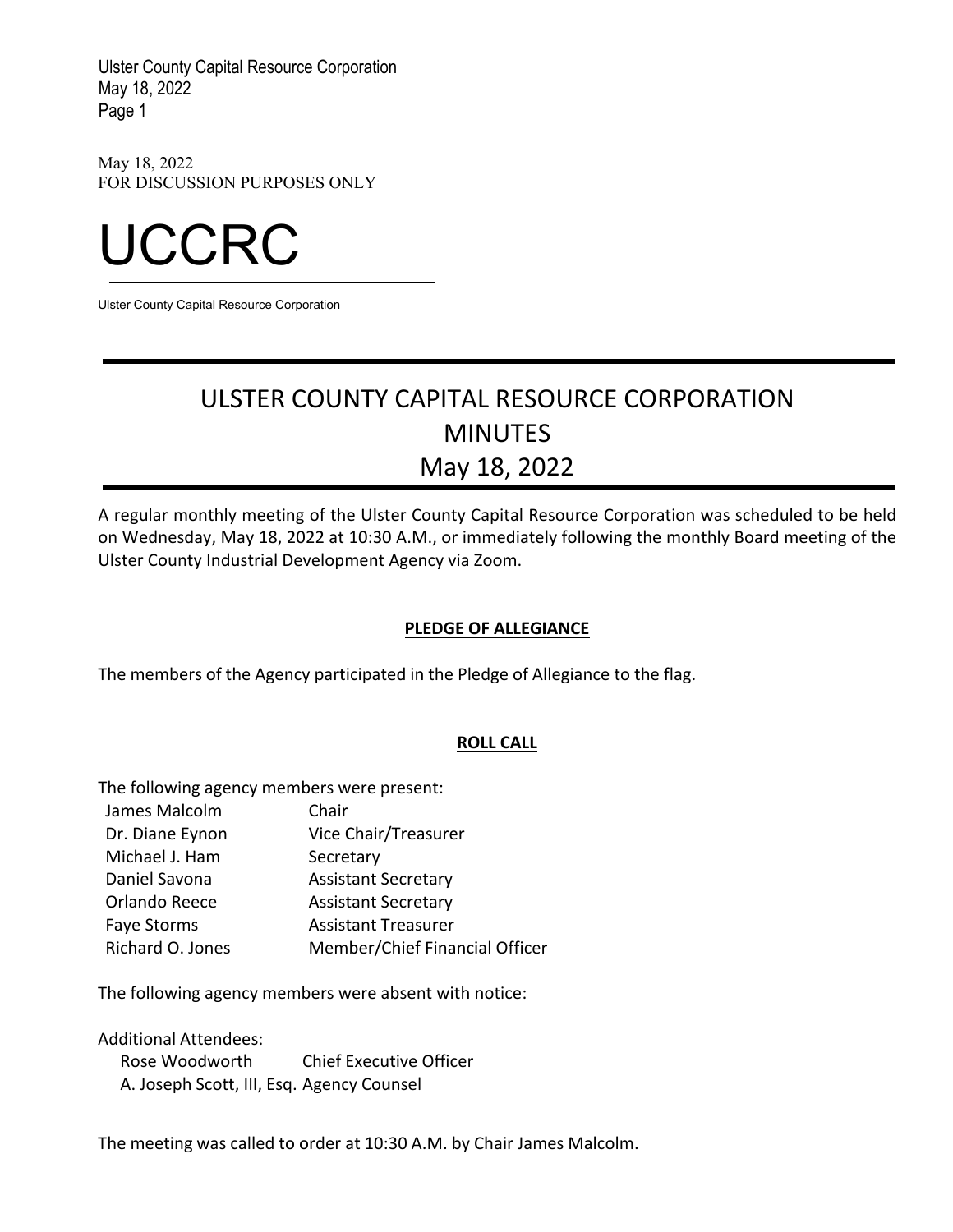May 18, 2022 FOR DISCUSSION PURPOSES ONLY



Ulster County Capital Resource Corporation

# ULSTER COUNTY CAPITAL RESOURCE CORPORATION MINUTES May 18, 2022

A regular monthly meeting of the Ulster County Capital Resource Corporation was scheduled to be held on Wednesday, May 18, 2022 at 10:30 A.M., or immediately following the monthly Board meeting of the Ulster County Industrial Development Agency via Zoom.

## **PLEDGE OF ALLEGIANCE**

The members of the Agency participated in the Pledge of Allegiance to the flag.

## **ROLL CALL**

The following agency members were present:

James Malcolm Dr. Diane Eynon Michael J. Ham Chair Vice Chair/Treasurer **Secretary** Daniel Savona Assistant Secretary Orlando Reece Faye Storms Assistant Secretary Assistant Treasurer Richard O. Jones Member/Chief Financial Officer

The following agency members were absent with notice:

Additional Attendees:

Rose Woodworth Chief Executive Officer A. Joseph Scott, III, Esq. Agency Counsel

The meeting was called to order at 10:30 A.M. by Chair James Malcolm.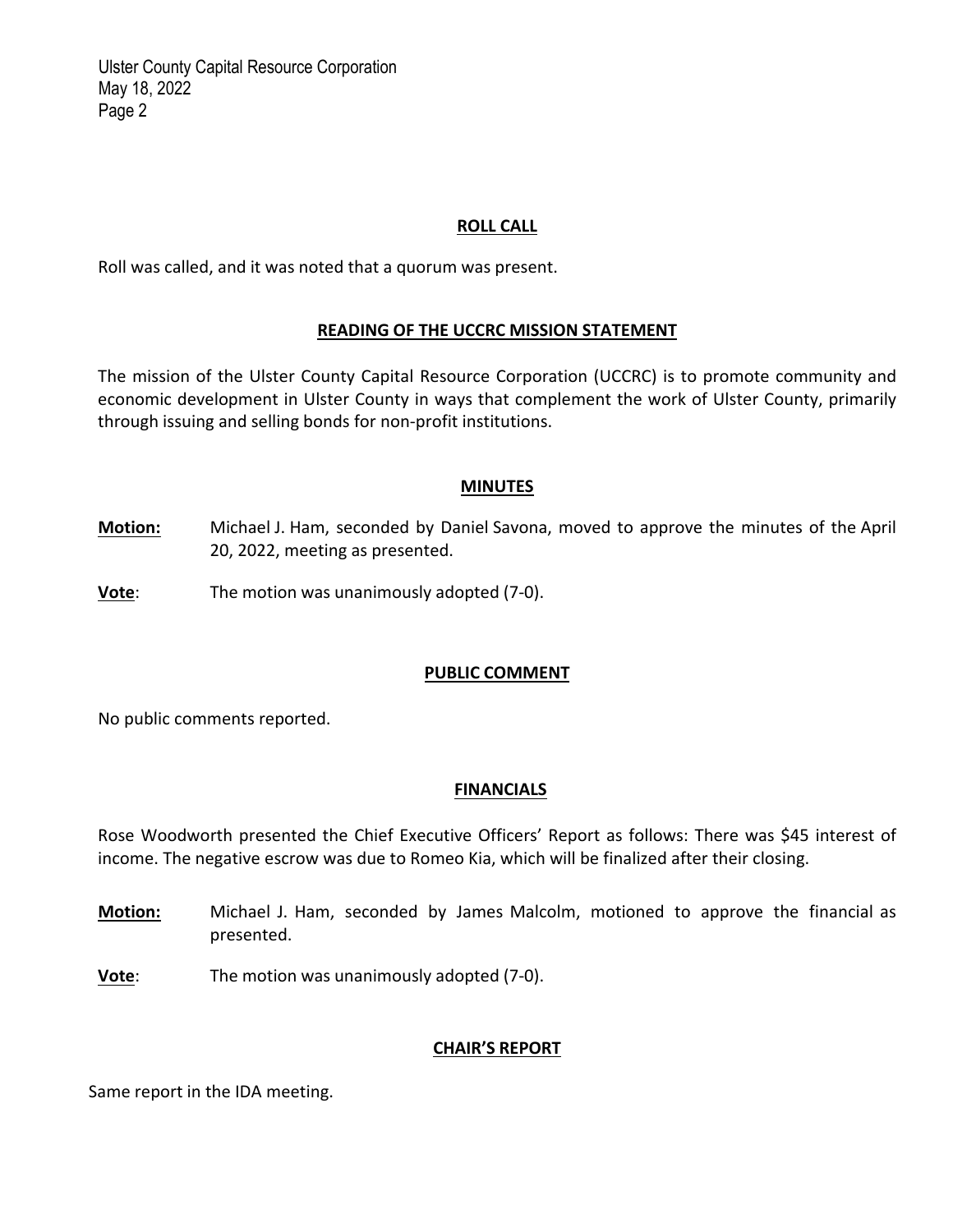#### **ROLL CALL**

Roll was called, and it was noted that a quorum was present.

#### **READING OF THE UCCRC MISSION STATEMENT**

The mission of the Ulster County Capital Resource Corporation (UCCRC) is to promote community and economic development in Ulster County in ways that complement the work of Ulster County, primarily through issuing and selling bonds for non‐profit institutions.

#### **MINUTES**

- **Motion:** Michael J. Ham, seconded by Daniel Savona, moved to approve the minutes of the April 20, 2022, meeting as presented.
- **Vote**: The motion was unanimously adopted (7-0).

#### **PUBLIC COMMENT**

No public comments reported.

#### **FINANCIALS**

Rose Woodworth presented the Chief Executive Officers' Report as follows: There was \$45 interest of income. The negative escrow was due to Romeo Kia, which will be finalized after their closing.

- **Motion:** Michael J. Ham, seconded by James Malcolm, motioned to approve the financial as presented.
- **Vote**: The motion was unanimously adopted (7‐0).

## **CHAIR'S REPORT**

Same report in the IDA meeting.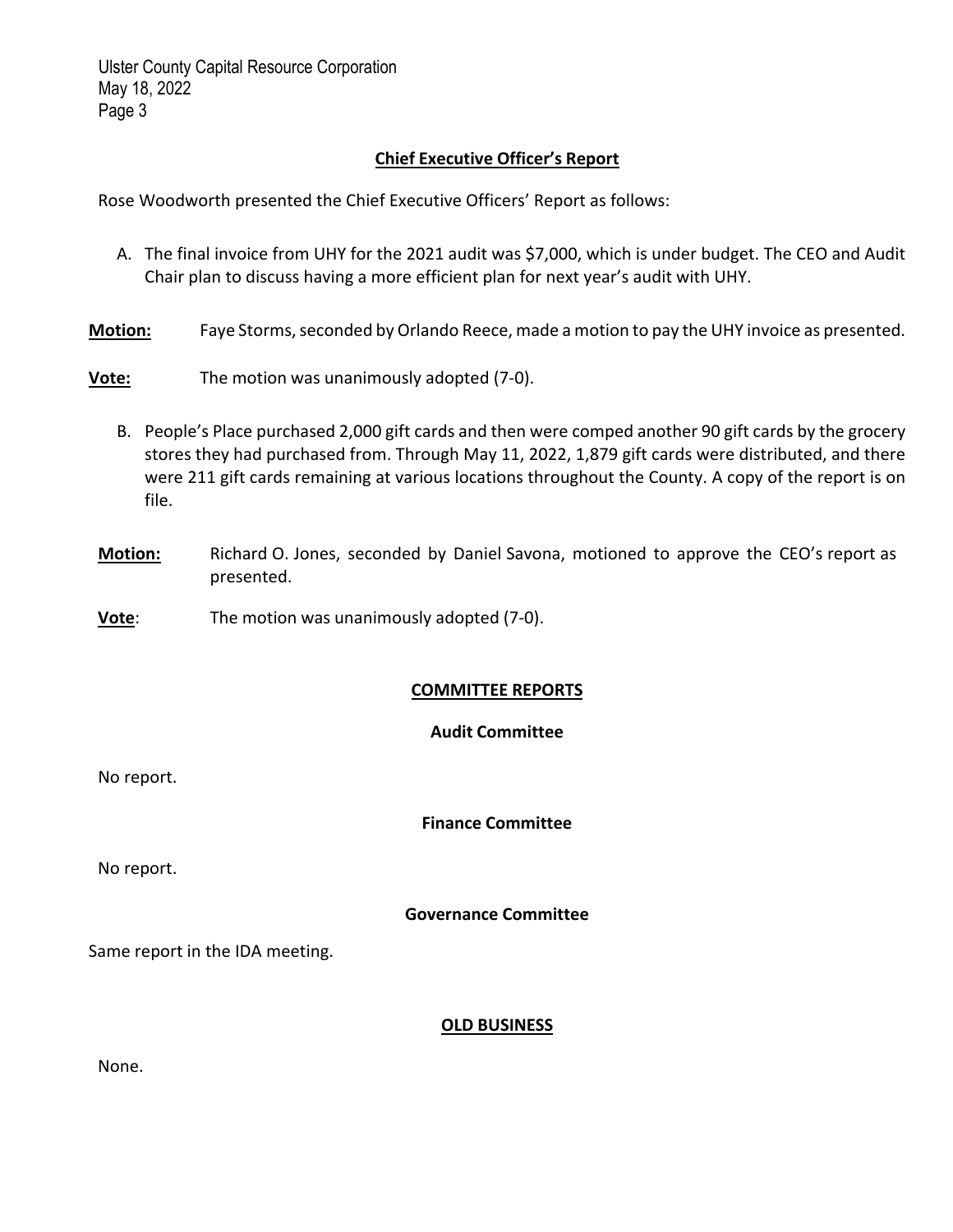## **Chief Executive Officer's Report**

Rose Woodworth presented the Chief Executive Officers' Report as follows:

- A. The final invoice from UHY for the 2021 audit was \$7,000, which is under budget. The CEO and Audit Chair plan to discuss having a more efficient plan for next year's audit with UHY.
- Motion: Faye Storms, seconded by Orlando Reece, made a motion to pay the UHY invoice as presented.
- **Vote:** The motion was unanimously adopted (7‐0).
	- B. People's Place purchased 2,000 gift cards and then were comped another 90 gift cards by the grocery stores they had purchased from. Through May 11, 2022, 1,879 gift cards were distributed, and there were 211 gift cards remaining at various locations throughout the County. A copy of the report is on file.
- **Motion:** Richard O. Jones, seconded by Daniel Savona, motioned to approve the CEO's report as presented.
- **Vote:** The motion was unanimously adopted (7-0).

## **COMMITTEE REPORTS**

#### **Audit Committee**

No report.

**Finance Committee**

No report.

## **Governance Committee**

Same report in the IDA meeting.

#### **OLD BUSINESS**

| ×<br>٠<br>v |  |
|-------------|--|
|-------------|--|